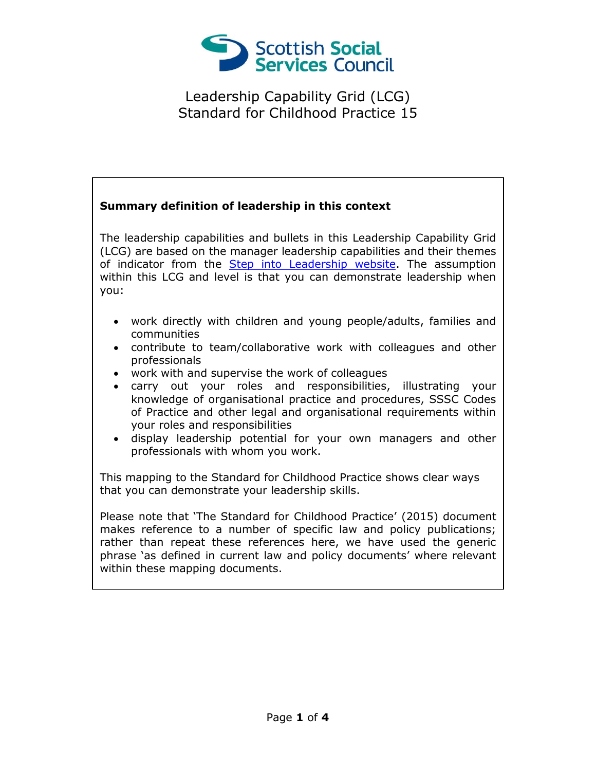

## **Summary definition of leadership in this context**

The leadership capabilities and bullets in this Leadership Capability Grid (LCG) are based on the manager leadership capabilities and their themes of indicator from the [Step into Leadership website.](http://www.stepintoleadership.info/) The assumption within this LCG and level is that you can demonstrate leadership when you:

- work directly with children and young people/adults, families and communities
- contribute to team/collaborative work with colleagues and other professionals
- work with and supervise the work of colleagues
- carry out your roles and responsibilities, illustrating your knowledge of organisational practice and procedures, SSSC Codes of Practice and other legal and organisational requirements within your roles and responsibilities
- display leadership potential for your own managers and other professionals with whom you work.

This mapping to the Standard for Childhood Practice shows clear ways that you can demonstrate your leadership skills.

Please note that 'The Standard for Childhood Practice' (2015) document makes reference to a number of specific law and policy publications; rather than repeat these references here, we have used the generic phrase 'as defined in current law and policy documents' where relevant within these mapping documents.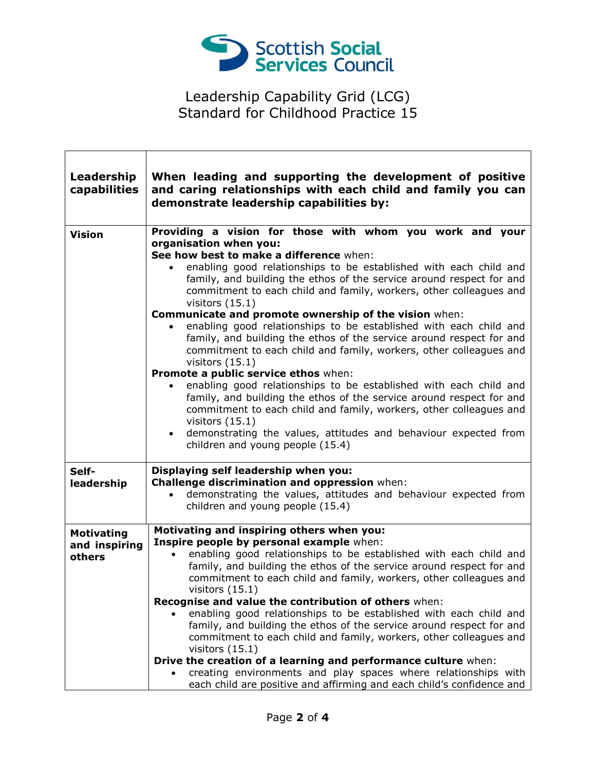

٦

┑

| Leadership<br>capabilities                   | When leading and supporting the development of positive<br>and caring relationships with each child and family you can<br>demonstrate leadership capabilities by:                                                                                                                                                                                                                                                                                                                                                                                                                                                                                                                                                                                                                                                                                                                                                                                                                                                                      |
|----------------------------------------------|----------------------------------------------------------------------------------------------------------------------------------------------------------------------------------------------------------------------------------------------------------------------------------------------------------------------------------------------------------------------------------------------------------------------------------------------------------------------------------------------------------------------------------------------------------------------------------------------------------------------------------------------------------------------------------------------------------------------------------------------------------------------------------------------------------------------------------------------------------------------------------------------------------------------------------------------------------------------------------------------------------------------------------------|
| <b>Vision</b>                                | Providing a vision for those with whom you work and your<br>organisation when you:<br>See how best to make a difference when:<br>enabling good relationships to be established with each child and<br>family, and building the ethos of the service around respect for and<br>commitment to each child and family, workers, other colleagues and<br>visitors $(15.1)$<br>Communicate and promote ownership of the vision when:<br>enabling good relationships to be established with each child and<br>family, and building the ethos of the service around respect for and<br>commitment to each child and family, workers, other colleagues and<br>visitors $(15.1)$<br>Promote a public service ethos when:<br>enabling good relationships to be established with each child and<br>family, and building the ethos of the service around respect for and<br>commitment to each child and family, workers, other colleagues and<br>visitors $(15.1)$<br>demonstrating the values, attitudes and behaviour expected from<br>$\bullet$ |
|                                              | children and young people (15.4)                                                                                                                                                                                                                                                                                                                                                                                                                                                                                                                                                                                                                                                                                                                                                                                                                                                                                                                                                                                                       |
| Self-<br>leadership                          | Displaying self leadership when you:<br>Challenge discrimination and oppression when:<br>demonstrating the values, attitudes and behaviour expected from<br>$\bullet$<br>children and young people (15.4)                                                                                                                                                                                                                                                                                                                                                                                                                                                                                                                                                                                                                                                                                                                                                                                                                              |
| <b>Motivating</b><br>and inspiring<br>others | Motivating and inspiring others when you:<br>Inspire people by personal example when:<br>enabling good relationships to be established with each child and<br>family, and building the ethos of the service around respect for and<br>commitment to each child and family, workers, other colleagues and<br>visitors $(15.1)$<br>Recognise and value the contribution of others when:<br>enabling good relationships to be established with each child and<br>family, and building the ethos of the service around respect for and<br>commitment to each child and family, workers, other colleagues and<br>visitors $(15.1)$<br>Drive the creation of a learning and performance culture when:<br>creating environments and play spaces where relationships with<br>each child are positive and affirming and each child's confidence and                                                                                                                                                                                             |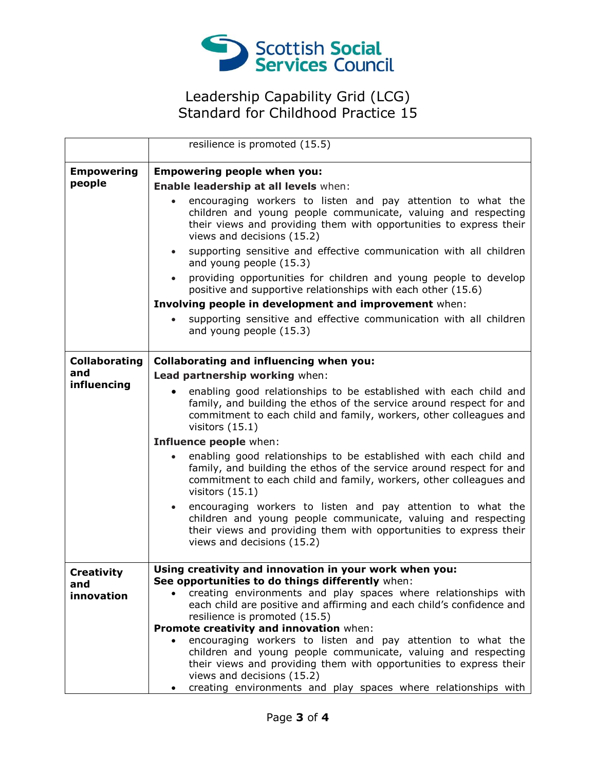

|                      | resilience is promoted (15.5)                                                                                                                                                                                                                     |
|----------------------|---------------------------------------------------------------------------------------------------------------------------------------------------------------------------------------------------------------------------------------------------|
| <b>Empowering</b>    | <b>Empowering people when you:</b>                                                                                                                                                                                                                |
| people               | Enable leadership at all levels when:                                                                                                                                                                                                             |
|                      | encouraging workers to listen and pay attention to what the<br>children and young people communicate, valuing and respecting<br>their views and providing them with opportunities to express their<br>views and decisions (15.2)                  |
|                      | supporting sensitive and effective communication with all children<br>$\bullet$<br>and young people (15.3)                                                                                                                                        |
|                      | providing opportunities for children and young people to develop<br>$\bullet$<br>positive and supportive relationships with each other (15.6)                                                                                                     |
|                      | Involving people in development and improvement when:                                                                                                                                                                                             |
|                      | supporting sensitive and effective communication with all children<br>and young people (15.3)                                                                                                                                                     |
| <b>Collaborating</b> | <b>Collaborating and influencing when you:</b>                                                                                                                                                                                                    |
| and                  | Lead partnership working when:                                                                                                                                                                                                                    |
| influencing          | enabling good relationships to be established with each child and<br>family, and building the ethos of the service around respect for and<br>commitment to each child and family, workers, other colleagues and<br>visitors $(15.1)$              |
|                      | Influence people when:                                                                                                                                                                                                                            |
|                      | enabling good relationships to be established with each child and<br>$\bullet$<br>family, and building the ethos of the service around respect for and<br>commitment to each child and family, workers, other colleagues and<br>visitors $(15.1)$ |
|                      | encouraging workers to listen and pay attention to what the<br>$\bullet$<br>children and young people communicate, valuing and respecting<br>their views and providing them with opportunities to express their<br>views and decisions (15.2)     |
| <b>Creativity</b>    | Using creativity and innovation in your work when you:                                                                                                                                                                                            |
| and<br>innovation    | See opportunities to do things differently when:<br>creating environments and play spaces where relationships with                                                                                                                                |
|                      | each child are positive and affirming and each child's confidence and                                                                                                                                                                             |
|                      | resilience is promoted (15.5)                                                                                                                                                                                                                     |
|                      | Promote creativity and innovation when:<br>encouraging workers to listen and pay attention to what the<br>$\bullet$                                                                                                                               |
|                      | children and young people communicate, valuing and respecting<br>their views and providing them with opportunities to express their<br>views and decisions (15.2)                                                                                 |
|                      | creating environments and play spaces where relationships with                                                                                                                                                                                    |